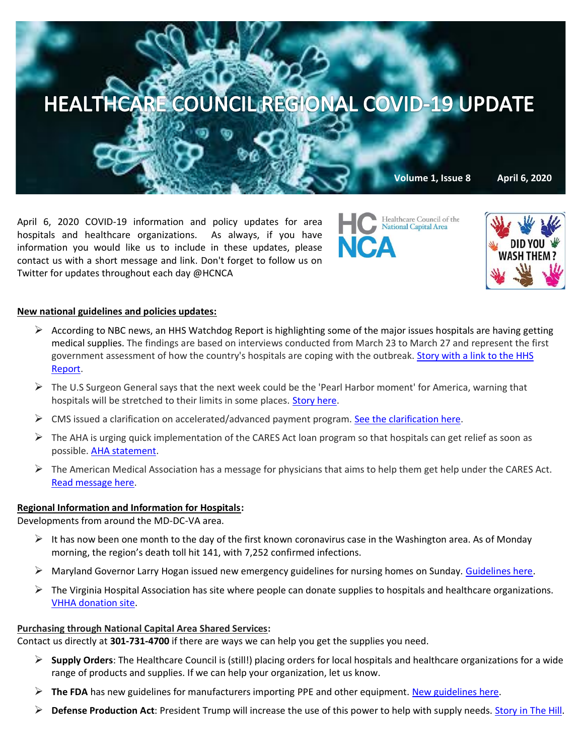

April 6, 2020 COVID-19 information and policy updates for area hospitals and healthcare organizations. As always, if you have information you would like us to include in these updates, please contact us with a short message and link. Don't forget to follow us on Twitter for updates throughout each day @HCNCA

Healthcare Council of the National Capital Area



## **New national guidelines and policies updates:**

- $\triangleright$  According to NBC news, an HHS Watchdog Report is highlighting some of the major issues hospitals are having getting medical supplies. The findings are based on interviews conducted from March 23 to March 27 and represent the first government assessment of how the country's hospitals are coping with the outbreak. [Story with a link to the HHS](https://www.nbcnews.com/news/us-news/government-watchdog-hospitals-face-severe-shortages-medical-gear-confusing-guidance-n1177256)  [Report.](https://www.nbcnews.com/news/us-news/government-watchdog-hospitals-face-severe-shortages-medical-gear-confusing-guidance-n1177256)
- $\triangleright$  The U.S Surgeon General says that the next week could be the 'Pearl Harbor moment' for America, warning that hospitals will be stretched to their limits in some places. [Story here.](https://www.washingtonpost.com/world/2020/04/06/coronavirus-latest-news/)
- $\triangleright$  CMS issued a clarification on accelerated/advanced payment program. [See the clarification here.](https://www.aha.org/advisory/2020-04-03-coronavirus-update-cms-clarifies-acceleratedadvanced-payment-programs)
- $\triangleright$  The AHA is urging quick implementation of the CARES Act loan program so that hospitals can get relief as soon as possible. [AHA statement.](https://www.aha.org/special-bulletin/2020-04-03-aha-urges-treasury-federal-reserve-implement-cares-act-loan-program)
- $\triangleright$  The American Medical Association has a message for physicians that aims to help them get help under the CARES Act. [Read message here.](https://www.ama-assn.org/delivering-care/public-health/physician-practices-learn-how-get-help-under-cares-act)

### **Regional Information and Information for Hospitals:**

Developments from around the MD-DC-VA area.

- $\triangleright$  It has now been one month to the day of the first known coronavirus case in the Washington area. As of Monday morning, the region's death toll hit 141, with 7,252 confirmed infections.
- ➢ Maryland Governor Larry Hogan issued new emergency guidelines for nursing homes on Sunday. [Guidelines here.](https://www.washingtonpost.com/local/maryland-gov-hogan-issues-emergency-order-for-nursing-homes-to-stem-coronavirus-spread/2020/04/05/c5a7f04e-7745-11ea-9bee-c5bf9d2e3288_story.html)
- $\triangleright$  The Virginia Hospital Association has site where people can donate supplies to hospitals and healthcare organizations. [VHHA donation site.](https://app.smartsheet.com/b/publish?EQBCT=44e5c6b8d7664b0cae100de401a4c66d)

#### **Purchasing through National Capital Area Shared Services:**

Contact us directly at **301-731-4700** if there are ways we can help you get the supplies you need.

- ➢ **Supply Orders**: The Healthcare Council is (still!) placing orders for local hospitals and healthcare organizations for a wide range of products and supplies. If we can help your organization, let us know.
- ➢ **The FDA** has new guidelines for manufacturers importing PPE and other equipment. [New guidelines here.](https://www.fda.gov/news-events/press-announcements/coronavirus-covid-19-update-fda-takes-action-increase-us-supplies-through-instructions-ppe-and?utm_campaign=AEL20UFM-CS-Newsletter1-Visprom-ENG&utm_emailname=AEL20UFM-Email%20Newsletter-split-header-ENG&utm_medium=email&utm_source=Eloqua&utm_MDMContactID=768ce792-6a1c-4a85-b905-a4997fc798f9&utm_campaigntype=Newsletter&utm_sub=FIME%20Newsletter,%20April%202020&eM=ceaa1d90596d01300ffc10158da4644923b498edb6be34b7a64f529949747838&eventSeriesCode=ES_FIME&eventEditionCode=AEL20UFM&sessionCode=NULL)
- ➢ **Defense Production Act**: President Trump will increase the use of this power to help with supply needs. [Story in The Hill.](https://thehill.com/policy/defense/490881-trump-to-expand-use-of-defense-product-act-to-build-ventilators?mkt_tok=eyJpIjoiWkROaVpXRTNNR1UzWTJaaiIsInQiOiJaNDhDVW55a1hySTVpdElEMTNtR2VDSjY2OEM5cFwvZTFqRWtnZXRrTUpRWXVoZXNFbTdzWXZVUEd2WTZlVEtINGZKQWd4RDZkRkIxS2hhY3ZnWjR3MXhwNUxQMWJXaEhQMUpBdU54MVlQSmtyYlc5RU1GMjdBaDBWUkJOSEdhdnIifQ==)